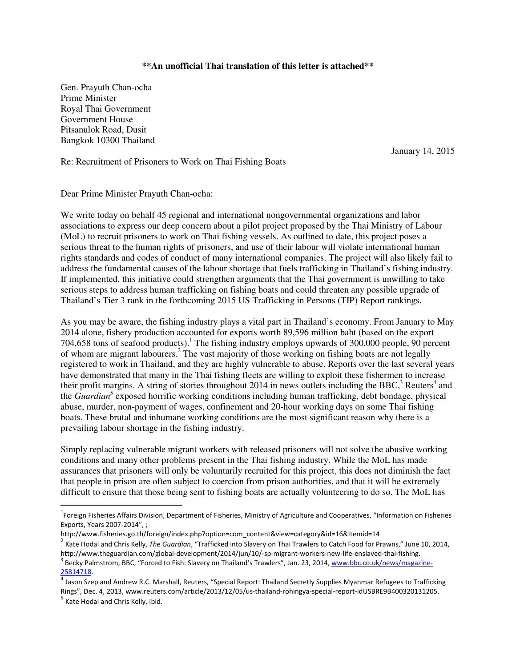## **\*\*An unofficial Thai translation of this letter is attached\*\***

Gen. Prayuth Chan-ocha Prime Minister Royal Thai Government Government House Pitsanulok Road, Dusit Bangkok 10300 Thailand

January 14, 2015

## Re: Recruitment of Prisoners to Work on Thai Fishing Boats

Dear Prime Minister Prayuth Chan-ocha:

We write today on behalf 45 regional and international nongovernmental organizations and labor associations to express our deep concern about a pilot project proposed by the Thai Ministry of Labour (MoL) to recruit prisoners to work on Thai fishing vessels. As outlined to date, this project poses a serious threat to the human rights of prisoners, and use of their labour will violate international human rights standards and codes of conduct of many international companies. The project will also likely fail to address the fundamental causes of the labour shortage that fuels trafficking in Thailand's fishing industry. If implemented, this initiative could strengthen arguments that the Thai government is unwilling to take serious steps to address human trafficking on fishing boats and could threaten any possible upgrade of Thailand's Tier 3 rank in the forthcoming 2015 US Trafficking in Persons (TIP) Report rankings.

As you may be aware, the fishing industry plays a vital part in Thailand's economy. From January to May 2014 alone, fishery production accounted for exports worth 89,596 million baht (based on the export 704,658 tons of seafood products). The fishing industry employs upwards of  $300,000$  people, 90 percent of whom are migrant labourers.<sup>2</sup> The vast majority of those working on fishing boats are not legally registered to work in Thailand, and they are highly vulnerable to abuse. Reports over the last several years have demonstrated that many in the Thai fishing fleets are willing to exploit these fishermen to increase their profit margins. A string of stories throughout 2014 in news outlets including the BBC, $3$  Reuters<sup>4</sup> and the *Guardian*<sup>5</sup> exposed horrific working conditions including human trafficking, debt bondage, physical abuse, murder, non-payment of wages, confinement and 20-hour working days on some Thai fishing boats. These brutal and inhumane working conditions are the most significant reason why there is a prevailing labour shortage in the fishing industry.

Simply replacing vulnerable migrant workers with released prisoners will not solve the abusive working conditions and many other problems present in the Thai fishing industry. While the MoL has made assurances that prisoners will only be voluntarily recruited for this project, this does not diminish the fact that people in prison are often subject to coercion from prison authorities, and that it will be extremely difficult to ensure that those being sent to fishing boats are actually volunteering to do so. The MoL has

<u>.</u>

<sup>&</sup>lt;sup>1</sup>Foreign Fisheries Affairs Division, Department of Fisheries, Ministry of Agriculture and Cooperatives, "Information on Fisheries Exports, Years 2007-2014", ;

http://www.fisheries.go.th/foreign/index.php?option=com\_content&view=category&id=16&Itemid=14

<sup>2</sup> Kate Hodal and Chris Kelly, *The Guardian*, "Trafficked into Slavery on Thai Trawlers to Catch Food for Prawns," June 10, 2014, http://www.theguardian.com/global-development/2014/jun/10/-sp-migrant-workers-new-life-enslaved-thai-fishing.

<sup>&</sup>lt;sup>3</sup> Becky Palmstrom, BBC, "Forced to Fish: Slavery on Thailand's Trawlers", Jan. 23, 2014, www.bbc.co.uk/news/magazine-25814718.

<sup>&</sup>lt;sup>4</sup> Jason Szep and Andrew R.C. Marshall, Reuters, "Special Report: Thailand Secretly Supplies Myanmar Refugees to Trafficking Rings", Dec. 4, 2013, www.reuters.com/article/2013/12/05/us-thailand-rohingya-special-report-idUSBRE9B400320131205.

<sup>&</sup>lt;sup>5</sup> Kate Hodal and Chris Kelly, ibid.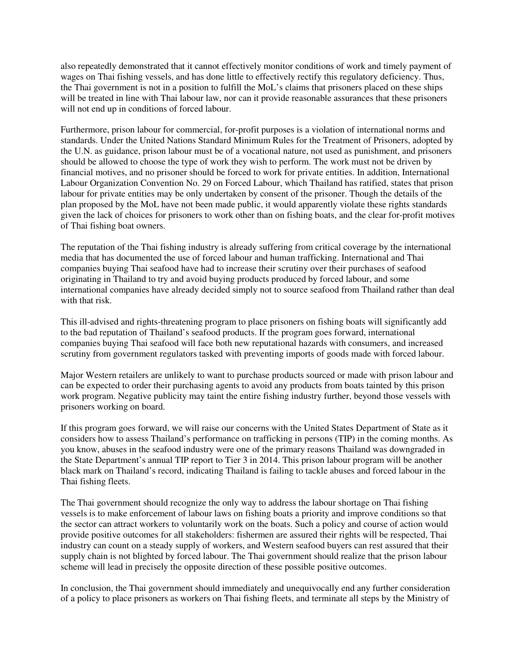also repeatedly demonstrated that it cannot effectively monitor conditions of work and timely payment of wages on Thai fishing vessels, and has done little to effectively rectify this regulatory deficiency. Thus, the Thai government is not in a position to fulfill the MoL's claims that prisoners placed on these ships will be treated in line with Thai labour law, nor can it provide reasonable assurances that these prisoners will not end up in conditions of forced labour.

Furthermore, prison labour for commercial, for-profit purposes is a violation of international norms and standards. Under the United Nations Standard Minimum Rules for the Treatment of Prisoners, adopted by the U.N. as guidance, prison labour must be of a vocational nature, not used as punishment, and prisoners should be allowed to choose the type of work they wish to perform. The work must not be driven by financial motives, and no prisoner should be forced to work for private entities. In addition, International Labour Organization Convention No. 29 on Forced Labour, which Thailand has ratified, states that prison labour for private entities may be only undertaken by consent of the prisoner. Though the details of the plan proposed by the MoL have not been made public, it would apparently violate these rights standards given the lack of choices for prisoners to work other than on fishing boats, and the clear for-profit motives of Thai fishing boat owners.

The reputation of the Thai fishing industry is already suffering from critical coverage by the international media that has documented the use of forced labour and human trafficking. International and Thai companies buying Thai seafood have had to increase their scrutiny over their purchases of seafood originating in Thailand to try and avoid buying products produced by forced labour, and some international companies have already decided simply not to source seafood from Thailand rather than deal with that risk.

This ill-advised and rights-threatening program to place prisoners on fishing boats will significantly add to the bad reputation of Thailand's seafood products. If the program goes forward, international companies buying Thai seafood will face both new reputational hazards with consumers, and increased scrutiny from government regulators tasked with preventing imports of goods made with forced labour.

Major Western retailers are unlikely to want to purchase products sourced or made with prison labour and can be expected to order their purchasing agents to avoid any products from boats tainted by this prison work program. Negative publicity may taint the entire fishing industry further, beyond those vessels with prisoners working on board.

If this program goes forward, we will raise our concerns with the United States Department of State as it considers how to assess Thailand's performance on trafficking in persons (TIP) in the coming months. As you know, abuses in the seafood industry were one of the primary reasons Thailand was downgraded in the State Department's annual TIP report to Tier 3 in 2014. This prison labour program will be another black mark on Thailand's record, indicating Thailand is failing to tackle abuses and forced labour in the Thai fishing fleets.

The Thai government should recognize the only way to address the labour shortage on Thai fishing vessels is to make enforcement of labour laws on fishing boats a priority and improve conditions so that the sector can attract workers to voluntarily work on the boats. Such a policy and course of action would provide positive outcomes for all stakeholders: fishermen are assured their rights will be respected, Thai industry can count on a steady supply of workers, and Western seafood buyers can rest assured that their supply chain is not blighted by forced labour. The Thai government should realize that the prison labour scheme will lead in precisely the opposite direction of these possible positive outcomes.

In conclusion, the Thai government should immediately and unequivocally end any further consideration of a policy to place prisoners as workers on Thai fishing fleets, and terminate all steps by the Ministry of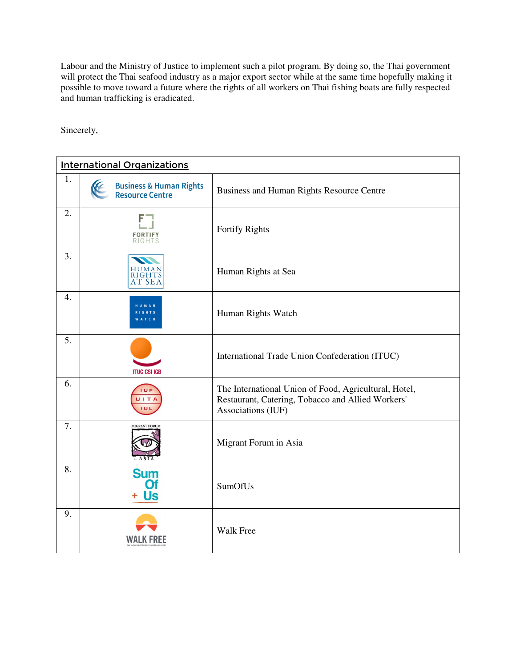Labour and the Ministry of Justice to implement such a pilot program. By doing so, the Thai government will protect the Thai seafood industry as a major export sector while at the same time hopefully making it possible to move toward a future where the rights of all workers on Thai fishing boats are fully respected and human trafficking is eradicated.

Sincerely,

| <b>International Organizations</b> |                                                        |                                                                                                                                  |
|------------------------------------|--------------------------------------------------------|----------------------------------------------------------------------------------------------------------------------------------|
| 1.                                 | <b>Business &amp; Human Rights<br/>Resource Centre</b> | Business and Human Rights Resource Centre                                                                                        |
| 2.                                 | <b>FORTIFY</b><br>RIGHTS                               | Fortify Rights                                                                                                                   |
| 3.                                 | HUMAN<br>RIGHTS<br>AT SEA                              | Human Rights at Sea                                                                                                              |
| 4.                                 |                                                        | Human Rights Watch                                                                                                               |
| 5.                                 | <b>ITUC CSI IGB</b>                                    | International Trade Union Confederation (ITUC)                                                                                   |
| 6.                                 | <b>IUF</b><br>UITA<br>IUL                              | The International Union of Food, Agricultural, Hotel,<br>Restaurant, Catering, Tobacco and Allied Workers'<br>Associations (IUF) |
| 7.                                 | <b>MIGRANT FORU</b>                                    | Migrant Forum in Asia                                                                                                            |
| 8.                                 | <b>Sum</b><br><b>Of</b><br>Us                          | SumOfUs                                                                                                                          |
| 9.                                 |                                                        | <b>Walk Free</b>                                                                                                                 |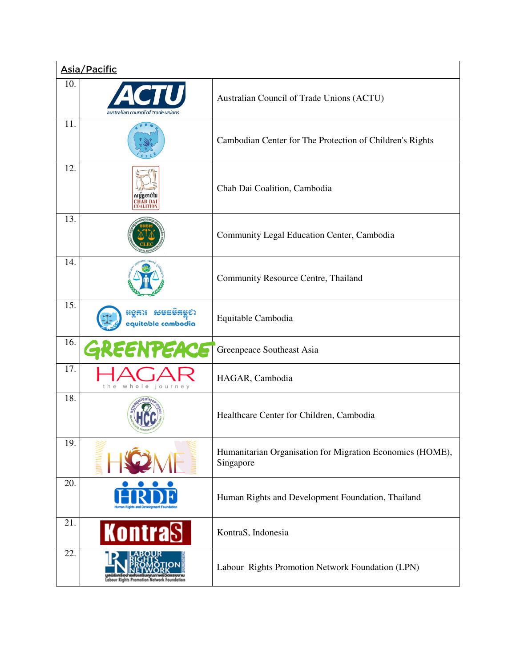|     | Asia/Pacific                                     |                                                                        |
|-----|--------------------------------------------------|------------------------------------------------------------------------|
| 10. | australian council of trade unions               | Australian Council of Trade Unions (ACTU)                              |
| 11. |                                                  | Cambodian Center for The Protection of Children's Rights               |
| 12. |                                                  | Chab Dai Coalition, Cambodia                                           |
| 13. |                                                  | Community Legal Education Center, Cambodia                             |
| 14. |                                                  | Community Resource Centre, Thailand                                    |
| 15. | <b>មុទ្ធតារ</b> សមជម៌គម្ពស<br>equitable cambodia | Equitable Cambodia                                                     |
| 16. | GREENPEACE                                       | Greenpeace Southeast Asia                                              |
| 17. | whole journey<br>the                             | HAGAR, Cambodia                                                        |
| 18. |                                                  | Healthcare Center for Children, Cambodia                               |
| 19. |                                                  | Humanitarian Organisation for Migration Economics (HOME),<br>Singapore |
| 20. |                                                  | Human Rights and Development Foundation, Thailand                      |
| 21. | <b>Kontras</b>                                   | KontraS, Indonesia                                                     |
| 22. | <b>Labour Rights Promot</b>                      | Labour Rights Promotion Network Foundation (LPN)                       |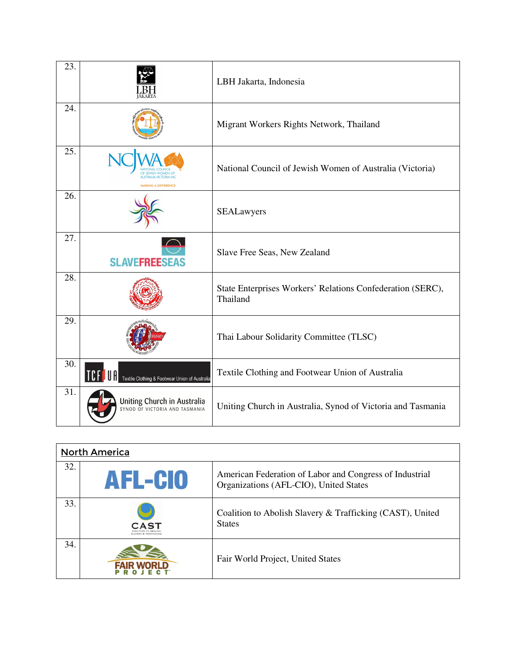| 23. |                                                                      | LBH Jakarta, Indonesia                                                 |
|-----|----------------------------------------------------------------------|------------------------------------------------------------------------|
| 24. |                                                                      | Migrant Workers Rights Network, Thailand                               |
| 25. |                                                                      | National Council of Jewish Women of Australia (Victoria)               |
| 26. |                                                                      | SEALawyers                                                             |
| 27. | <b>SLAVEFREESEAS</b>                                                 | Slave Free Seas, New Zealand                                           |
| 28. |                                                                      | State Enterprises Workers' Relations Confederation (SERC),<br>Thailand |
| 29. |                                                                      | Thai Labour Solidarity Committee (TLSC)                                |
| 30. | <b>TCFSUA</b><br>Textile Clothing & Footwear Union of Australia      | Textile Clothing and Footwear Union of Australia                       |
| 31. | <b>Uniting Church in Australia</b><br>SYNOD OF VICTORIA AND TASMANIA | Uniting Church in Australia, Synod of Victoria and Tasmania            |

| <b>North America</b> |                |                                                                                                   |
|----------------------|----------------|---------------------------------------------------------------------------------------------------|
| 32.                  | <b>AFL-CIO</b> | American Federation of Labor and Congress of Industrial<br>Organizations (AFL-CIO), United States |
| 33.                  | AS7            | Coalition to Abolish Slavery & Trafficking (CAST), United<br><b>States</b>                        |
| 34.                  |                | Fair World Project, United States                                                                 |